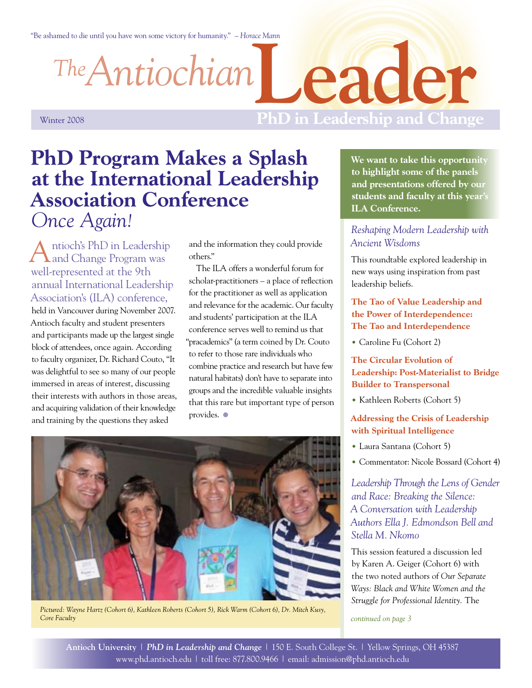"Be ashamed to die until you have won some victory for humanity." *– Horace Mann*

*Antiochian The*

**Leader**

Winter 2008

# **PhD in Leadership and Change**

# **PhD Program Makes a Splash at the International Leadership Association Conference** *Once Again!*

ntioch's PhD in Leadership and Change Program was well-represented at the 9th annual International Leadership Association's (ILA) conference, held in Vancouver during November 2007. Antioch faculty and student presenters and participants made up the largest single block of attendees, once again. According to faculty organizer, Dr. Richard Couto, "It was delightful to see so many of our people immersed in areas of interest, discussing their interests with authors in those areas, and acquiring validation of their knowledge and training by the questions they asked

and the information they could provide others."

The ILA offers a wonderful forum for scholar-practitioners – a place of reflection for the practitioner as well as application and relevance for the academic. Our faculty and students' participation at the ILA conference serves well to remind us that "pracademics" (a term coined by Dr. Couto to refer to those rare individuals who combine practice and research but have few natural habitats) don't have to separate into groups and the incredible valuable insights that this rare but important type of person provides.  $\bullet$ 



*Pictured: Wayne Hartz (Cohort 6), Kathleen Roberts (Cohort 5), Rick Warm (Cohort 6), Dr. Mitch Kusy, Core Faculty*

**We want to take this opportunity to highlight some of the panels and presentations offered by our students and faculty at this year's ILA Conference.** 

# *Reshaping Modern Leadership with Ancient Wisdoms*

This roundtable explored leadership in new ways using inspiration from past leadership beliefs.

### **The Tao of Value Leadership and the Power of Interdependence: The Tao and Interdependence**

• Caroline Fu (Cohort 2)

### **The Circular Evolution of Leadership: Post-Materialist to Bridge Builder to Transpersonal**

• Kathleen Roberts (Cohort 5)

### **Addressing the Crisis of Leadership with Spiritual Intelligence**

- Laura Santana (Cohort 5) •
- Commentator: Nicole Bossard (Cohort 4)

*Leadership Through the Lens of Gender and Race: Breaking the Silence: A Conversation with Leadership Authors Ella J. Edmondson Bell and Stella M. Nkomo* 

This session featured a discussion led by Karen A. Geiger (Cohort 6) with the two noted authors of *Our Separate Ways: Black and White Women and the Struggle for Professional Identity.* The

*continued on page 3*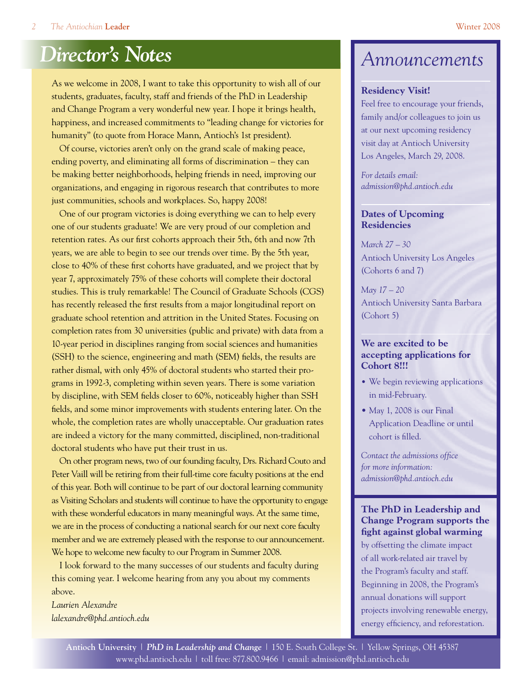As we welcome in 2008, I want to take this opportunity to wish all of our students, graduates, faculty, staff and friends of the PhD in Leadership and Change Program a very wonderful new year. I hope it brings health, happiness, and increased commitments to "leading change for victories for humanity" (to quote from Horace Mann, Antioch's 1st president).

Of course, victories aren't only on the grand scale of making peace, ending poverty, and eliminating all forms of discrimination – they can be making better neighborhoods, helping friends in need, improving our organizations, and engaging in rigorous research that contributes to more just communities, schools and workplaces. So, happy 2008!

One of our program victories is doing everything we can to help every one of our students graduate! We are very proud of our completion and retention rates. As our first cohorts approach their 5th, 6th and now 7th years, we are able to begin to see our trends over time. By the 5th year, close to 40% of these first cohorts have graduated, and we project that by year 7, approximately 75% of these cohorts will complete their doctoral studies. This is truly remarkable! The Council of Graduate Schools (CGS) has recently released the first results from a major longitudinal report on graduate school retention and attrition in the United States. Focusing on completion rates from 30 universities (public and private) with data from a 10-year period in disciplines ranging from social sciences and humanities (SSH) to the science, engineering and math (SEM) fields, the results are rather dismal, with only 45% of doctoral students who started their programs in 1992-3, completing within seven years. There is some variation by discipline, with SEM fields closer to 60%, noticeably higher than SSH fields, and some minor improvements with students entering later. On the whole, the completion rates are wholly unacceptable. Our graduation rates are indeed a victory for the many committed, disciplined, non-traditional doctoral students who have put their trust in us.

On other program news, two of our founding faculty, Drs. Richard Couto and Peter Vaill will be retiring from their full-time core faculty positions at the end of this year. Both will continue to be part of our doctoral learning community as Visiting Scholars and students will continue to have the opportunity to engage with these wonderful educators in many meaningful ways. At the same time, we are in the process of conducting a national search for our next core faculty member and we are extremely pleased with the response to our announcement. We hope to welcome new faculty to our Program in Summer 2008.

I look forward to the many successes of our students and faculty during this coming year. I welcome hearing from any you about my comments above.

*Laurien Alexandre lalexandre@phd.antioch.edu*

# *Announcements*

#### **Residency Visit!**

Feel free to encourage your friends, family and/or colleagues to join us at our next upcoming residency visit day at Antioch University Los Angeles, March 29, 2008.

*For details email: admission@phd.antioch.edu*

### **Dates of Upcoming Residencies**

*March 27 – 30* Antioch University Los Angeles (Cohorts 6 and 7)

*May 17 – 20* Antioch University Santa Barbara (Cohort 5)

### **We are excited to be accepting applications for Cohort 8!!!**

- We begin reviewing applications in mid-February.
- May 1, 2008 is our Final Application Deadline or until cohort is filled.

*Contact the admissions office for more information: admission@phd.antioch.edu*

### **The PhD in Leadership and Change Program supports the fight against global warming**

by offsetting the climate impact of all work-related air travel by the Program's faculty and staff. Beginning in 2008, the Program's annual donations will support projects involving renewable energy, energy efficiency, and reforestation.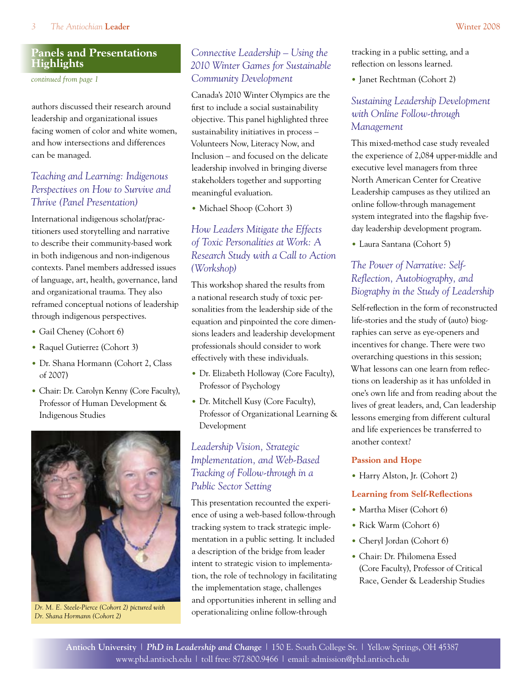## **Panels and Presentations Highlights**

*continued from page 1*

authors discussed their research around leadership and organizational issues facing women of color and white women, and how intersections and differences can be managed.

# *Teaching and Learning: Indigenous Perspectives on How to Survive and Thrive (Panel Presentation)*

International indigenous scholar/practitioners used storytelling and narrative to describe their community-based work in both indigenous and non-indigenous contexts. Panel members addressed issues of language, art, health, governance, land and organizational trauma. They also reframed conceptual notions of leadership through indigenous perspectives.

- Gail Cheney (Cohort 6)
- Raquel Gutierrez (Cohort 3)
- Dr. Shana Hormann (Cohort 2, Class of 2007)
- Chair: Dr. Carolyn Kenny (Core Faculty), Professor of Human Development & Indigenous Studies



*Dr. M. E. Steele-Pierce (Cohort 2) pictured with Dr. Shana Hormann (Cohort 2)* 

# *Connective Leadership – Using the 2010 Winter Games for Sustainable Community Development*

Canada's 2010 Winter Olympics are the first to include a social sustainability objective. This panel highlighted three sustainability initiatives in process – Volunteers Now, Literacy Now, and Inclusion – and focused on the delicate leadership involved in bringing diverse stakeholders together and supporting meaningful evaluation.

• Michael Shoop (Cohort 3)

# *How Leaders Mitigate the Effects of Toxic Personalities at Work: A Research Study with a Call to Action (Workshop)*

This workshop shared the results from a national research study of toxic personalities from the leadership side of the equation and pinpointed the core dimensions leaders and leadership development professionals should consider to work effectively with these individuals.

- Dr. Elizabeth Holloway (Core Faculty), Professor of Psychology
- Dr. Mitchell Kusy (Core Faculty), Professor of Organizational Learning & Development

# *Leadership Vision, Strategic Implementation, and Web-Based Tracking of Follow-through in a Public Sector Setting*

This presentation recounted the experience of using a web-based follow-through tracking system to track strategic implementation in a public setting. It included a description of the bridge from leader intent to strategic vision to implementation, the role of technology in facilitating the implementation stage, challenges and opportunities inherent in selling and operationalizing online follow-through

tracking in a public setting, and a reflection on lessons learned.

• Janet Rechtman (Cohort 2)

# *Sustaining Leadership Development with Online Follow-through Management*

This mixed-method case study revealed the experience of 2,084 upper-middle and executive level managers from three North American Center for Creative Leadership campuses as they utilized an online follow-through management system integrated into the flagship fiveday leadership development program.

Laura Santana (Cohort 5) •

# *The Power of Narrative: Self-Reflection, Autobiography, and Biography in the Study of Leadership*

Self-reflection in the form of reconstructed life-stories and the study of (auto) biographies can serve as eye-openers and incentives for change. There were two overarching questions in this session; What lessons can one learn from reflections on leadership as it has unfolded in one's own life and from reading about the lives of great leaders, and, Can leadership lessons emerging from different cultural and life experiences be transferred to another context?

### **Passion and Hope**

• Harry Alston, Jr. (Cohort 2)

### **Learning from Self-Reflections**

- Martha Miser (Cohort 6)
- Rick Warm (Cohort 6)
- Cheryl Jordan (Cohort 6)
- Chair: Dr. Philomena Essed (Core Faculty), Professor of Critical Race, Gender & Leadership Studies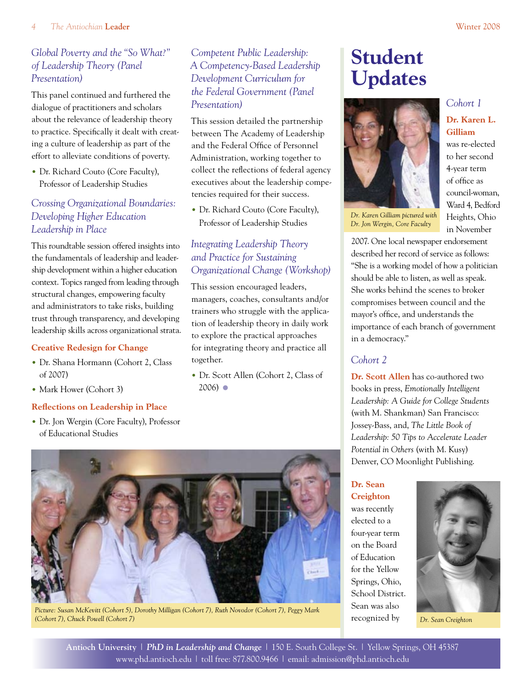# *Global Poverty and the "So What?" of Leadership Theory (Panel Presentation)*

This panel continued and furthered the dialogue of practitioners and scholars about the relevance of leadership theory to practice. Specifically it dealt with creating a culture of leadership as part of the effort to alleviate conditions of poverty.

• Dr. Richard Couto (Core Faculty), Professor of Leadership Studies

# *Crossing Organizational Boundaries: Developing Higher Education Leadership in Place*

This roundtable session offered insights into the fundamentals of leadership and leadership development within a higher education context. Topics ranged from leading through structural changes, empowering faculty and administrators to take risks, building trust through transparency, and developing leadership skills across organizational strata.

### **Creative Redesign for Change**

- Dr. Shana Hormann (Cohort 2, Class of 2007)
- Mark Hower (Cohort 3)

### **Reflections on Leadership in Place**

• Dr. Jon Wergin (Core Faculty), Professor of Educational Studies

# *Competent Public Leadership: A Competency-Based Leadership Development Curriculum for the Federal Government (Panel Presentation)*

This session detailed the partnership between The Academy of Leadership and the Federal Office of Personnel Administration, working together to collect the reflections of federal agency executives about the leadership competencies required for their success.

• Dr. Richard Couto (Core Faculty), Professor of Leadership Studies

# *Integrating Leadership Theory and Practice for Sustaining Organizational Change (Workshop)*

This session encouraged leaders, managers, coaches, consultants and/or trainers who struggle with the application of leadership theory in daily work to explore the practical approaches for integrating theory and practice all together.

• Dr. Scott Allen (Cohort 2, Class of  $2006$ )  $\bullet$ 



*Picture: Susan McKevitt (Cohort 5), Dorothy Milligan (Cohort 7), Ruth Novodor (Cohort 7), Peggy Mark (Cohort 7), Chuck Powell (Cohort 7)*

# **Student Updates**



*Dr. Jon Wergin, Core Faculty*

*Cohort 1*

### **Dr. Karen L. Gilliam**

was re-elected to her second 4-year term of office as council-woman, Ward 4, Bedford Heights, Ohio in November

2007. One local newspaper endorsement described her record of service as follows: "She is a working model of how a politician should be able to listen, as well as speak. She works behind the scenes to broker compromises between council and the mayor's office, and understands the importance of each branch of government in a democracy."

# *Cohort 2*

**Dr. Scott Allen** has co-authored two books in press, *Emotionally Intelligent Leadership: A Guide for College Students*  (with M. Shankman) San Francisco: Jossey-Bass, and, *The Little Book of Leadership: 50 Tips to Accelerate Leader Potential in Others* (with M. Kusy) Denver, CO Moonlight Publishing.

**Dr. Sean Creighton** was recently elected to a four-year term on the Board of Education for the Yellow Springs, Ohio, School District. Sean was also recognized by *Dr. Sean Creighton*

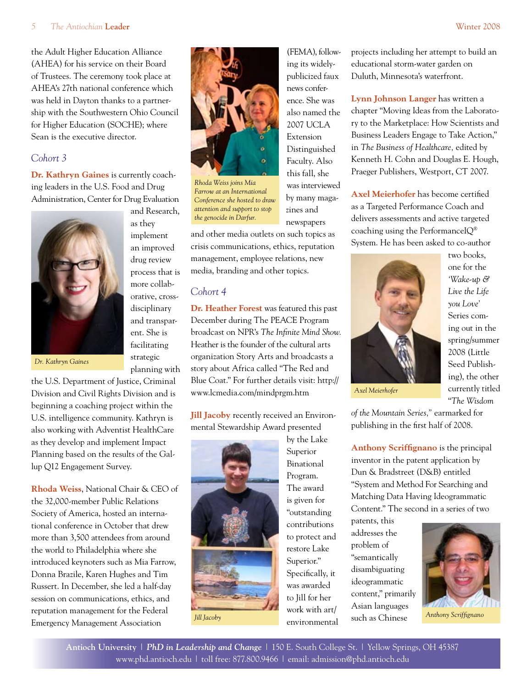#### 5 *The Antiochian* **Leader** Winter 2008

the Adult Higher Education Alliance (AHEA) for his service on their Board of Trustees. The ceremony took place at AHEA's 27th national conference which was held in Dayton thanks to a partnership with the Southwestern Ohio Council for Higher Education (SOCHE); where Sean is the executive director.

## *Cohort 3*

**Dr. Kathryn Gaines** is currently coaching leaders in the U.S. Food and Drug Administration, Center for Drug Evaluation

> and Research, as they implement an improved drug review process that is more collaborative, crossdisciplinary and transparent. She is facilitating strategic planning with



*Dr. Kathryn Gaines*

the U.S. Department of Justice, Criminal Division and Civil Rights Division and is beginning a coaching project within the U.S. intelligence community. Kathryn is also working with Adventist HealthCare as they develop and implement Impact Planning based on the results of the Gallup Q12 Engagement Survey.

**Rhoda Weiss**, National Chair & CEO of the 32,000-member Public Relations Society of America, hosted an international conference in October that drew more than 3,500 attendees from around the world to Philadelphia where she introduced keynoters such as Mia Farrow, Donna Brazile, Karen Hughes and Tim Russert. In December, she led a half-day session on communications, ethics, and reputation management for the Federal Emergency Management Association



(FEMA), following its widelypublicized faux news conference. She was also named the 2007 UCLA Extension Distinguished Faculty. Also this fall, she was interviewed by many magazines and newspapers

*Rhoda Weiss joins Mia Farrow at an International Conference she hosted to draw attention and support to stop the genocide in Darfur.* 

and other media outlets on such topics as crisis communications, ethics, reputation management, employee relations, new media, branding and other topics.

### *Cohort 4*

**Dr. Heather Forest** was featured this past December during The PEACE Program broadcast on NPR's *The Infinite Mind Show.* Heather is the founder of the cultural arts organization Story Arts and broadcasts a story about Africa called "The Red and Blue Coat." For further details visit: http:// www.lcmedia.com/mindprgm.htm

**Jill Jacoby** recently received an Environmental Stewardship Award presented



by the Lake Superior Binational Program. The award is given for "outstanding contributions to protect and restore Lake Superior." Specifically, it was awarded to Jill for her work with art/ environmental projects including her attempt to build an educational storm-water garden on Duluth, Minnesota's waterfront.

**Lynn Johnson Langer** has written a chapter "Moving Ideas from the Laboratory to the Marketplace: How Scientists and Business Leaders Engage to Take Action," in *The Business of Healthcare,* edited by Kenneth H. Cohn and Douglas E. Hough, Praeger Publishers, Westport, CT 2007.

**Axel Meierhofer** has become certified as a Targeted Performance Coach and delivers assessments and active targeted coaching using the PerformanceIQ® System. He has been asked to co-author



two books, one for the *'Wake-up & Live the Life you Love'*  Series coming out in the spring/summer 2008 (Little Seed Publishing), the other currently titled "*The Wisdom* 

*Axel Meierhofer*

*of the Mountain Series,"* earmarked for publishing in the first half of 2008.

**Anthony Scriffignano** is the principal inventor in the patent application by Dun & Bradstreet (D&B) entitled "System and Method For Searching and Matching Data Having Ideogrammatic Content." The second in a series of two

patents, this addresses the problem of "semantically disambiguating ideogrammatic content," primarily Asian languages



*Anthony Scriffignano*

**Antioch University** | *PhD in Leadership and Change* | 150 E. South College St. | Yellow Springs, OH 45387 www.phd.antioch.edu | toll free: 877.800.9466 | email: admission@phd.antioch.edu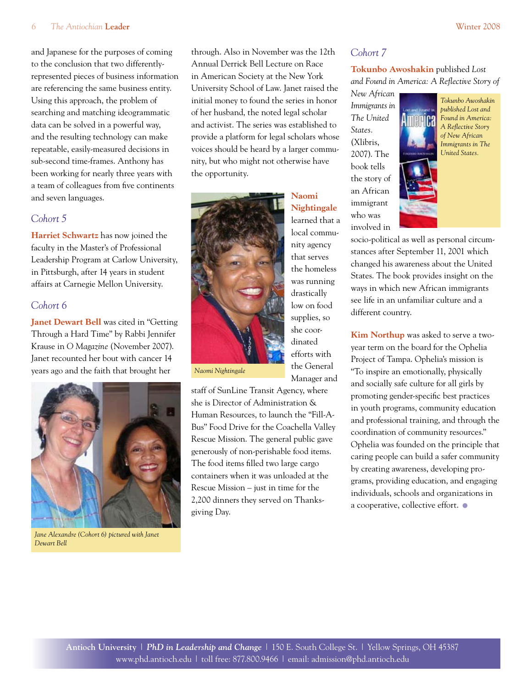#### 6 *The Antiochian* **Leader** Winter 2008

and Japanese for the purposes of coming to the conclusion that two differentlyrepresented pieces of business information are referencing the same business entity. Using this approach, the problem of searching and matching ideogrammatic data can be solved in a powerful way, and the resulting technology can make repeatable, easily-measured decisions in sub-second time-frames. Anthony has been working for nearly three years with a team of colleagues from five continents and seven languages.

### *Cohort 5*

**Harriet Schwartz** has now joined the faculty in the Master's of Professional Leadership Program at Carlow University, in Pittsburgh, after 14 years in student affairs at Carnegie Mellon University.

### *Cohort 6*

**Janet Dewart Bell** was cited in "Getting Through a Hard Time" by Rabbi Jennifer Krause in *O Magazine* (November 2007). Janet recounted her bout with cancer 14 years ago and the faith that brought her



*Jane Alexandre (Cohort 6) pictured with Janet Dewart Bell*

through. Also in November was the 12th Annual Derrick Bell Lecture on Race in American Society at the New York University School of Law. Janet raised the initial money to found the series in honor of her husband, the noted legal scholar and activist. The series was established to provide a platform for legal scholars whose voices should be heard by a larger community, but who might not otherwise have the opportunity.



that serves the homeless was running drastically low on food supplies, so she coordinated efforts with the General Manager and

**Naomi Nightingale** learned that a local community agency

*Naomi Nightingale*

staff of SunLine Transit Agency, where she is Director of Administration & Human Resources, to launch the "Fill-A-Bus" Food Drive for the Coachella Valley Rescue Mission. The general public gave generously of non-perishable food items. The food items filled two large cargo containers when it was unloaded at the Rescue Mission – just in time for the 2,200 dinners they served on Thanksgiving Day.

### *Cohort 7*

### **Tokunbo Awoshakin** published *Lost and Found in America: A Reflective Story of*

*New African Immigrants in The United States.*  (Xlibris, 2007). The book tells the story of an African immigrant who was involved in



*Tokunbo Awoshakin published Lost and Found in America: A Reflective Story of New African Immigrants in The United States.*

socio-political as well as personal circumstances after September 11, 2001 which changed his awareness about the United States. The book provides insight on the ways in which new African immigrants see life in an unfamiliar culture and a different country.

**Kim Northup** was asked to serve a twoyear term on the board for the Ophelia Project of Tampa. Ophelia's mission is "To inspire an emotionally, physically and socially safe culture for all girls by promoting gender-specific best practices in youth programs, community education and professional training, and through the coordination of community resources." Ophelia was founded on the principle that caring people can build a safer community by creating awareness, developing programs, providing education, and engaging individuals, schools and organizations in a cooperative, collective effort. •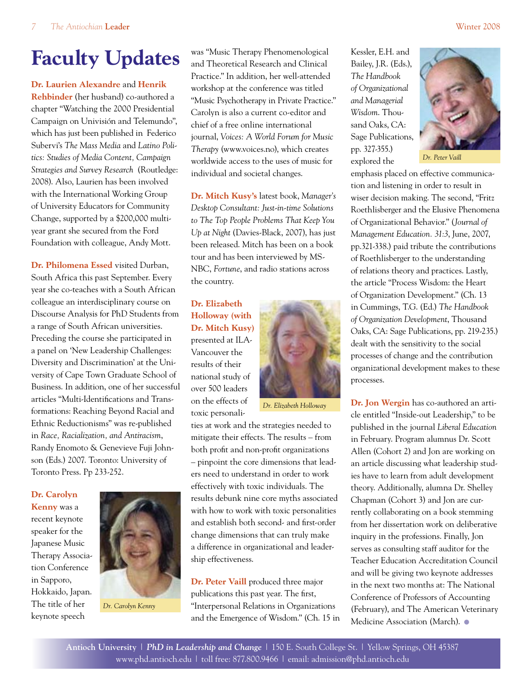# **Faculty Updates**

### **Dr. Laurien Alexandre** and **Henrik**

**Rehbinder** (her husband) co-authored a chapter "Watching the 2000 Presidential Campaign on Univisión and Telemundo", which has just been published in Federico Subervi's *The Mass Media* and *Latino Politics: Studies of Media Content, Campaign Strategies and Survey Research* (Routledge: 2008). Also, Laurien has been involved with the International Working Group of University Educators for Community Change, supported by a \$200,000 multiyear grant she secured from the Ford Foundation with colleague, Andy Mott.

**Dr. Philomena Essed** visited Durban, South Africa this past September. Every year she co-teaches with a South African colleague an interdisciplinary course on Discourse Analysis for PhD Students from a range of South African universities. Preceding the course she participated in a panel on 'New Leadership Challenges: Diversity and Discrimination' at the University of Cape Town Graduate School of Business. In addition, one of her successful articles "Multi-Identifications and Transformations: Reaching Beyond Racial and Ethnic Reductionisms" was re-published in *Race, Racialization, and Antiracism*, Randy Enomoto & Genevieve Fuji Johnson (Eds.) 2007. Toronto: University of Toronto Press. Pp 233-252.

### **Dr. Carolyn Kenny** was a recent keynote speaker for the Japanese Music Therapy Association Conference in Sapporo, Hokkaido, Japan. The title of her keynote speech



*Dr. Carolyn Kenny*

was "Music Therapy Phenomenological and Theoretical Research and Clinical Practice." In addition, her well-attended workshop at the conference was titled "Music Psychotherapy in Private Practice." Carolyn is also a current co-editor and chief of a free online international journal, *Voices: A World Forum for Music Therapy* (www.voices.no), which creates worldwide access to the uses of music for individual and societal changes.

**Dr. Mitch Kusy's** latest book, *Manager's Desktop Consultant: Just-in-time Solutions to The Top People Problems That Keep You Up at Night* (Davies-Black, 2007), has just been released. Mitch has been on a book tour and has been interviewed by MS-NBC, *Fortune*, and radio stations across the country.

**Dr. Elizabeth Holloway (with Dr. Mitch Kusy)** presented at ILA-Vancouver the results of their national study of over 500 leaders on the effects of toxic personali-



 *Dr. Elizabeth Holloway*

ties at work and the strategies needed to mitigate their effects. The results – from both profit and non-profit organizations – pinpoint the core dimensions that leaders need to understand in order to work effectively with toxic individuals. The results debunk nine core myths associated with how to work with toxic personalities and establish both second- and first-order change dimensions that can truly make a difference in organizational and leadership effectiveness.

**Dr. Peter Vaill** produced three major publications this past year. The first, "Interpersonal Relations in Organizations and the Emergence of Wisdom." (Ch. 15 in Kessler, E.H. and Bailey, J.R. (Eds.), *The Handbook of Organizational and Managerial Wisdom*. Thousand Oaks, CA: Sage Publications, pp. 327-355.) explored the



*Dr. Peter Vaill*

emphasis placed on effective communication and listening in order to result in wiser decision making. The second, "Fritz Roethlisberger and the Elusive Phenomena of Organizational Behavior." (*Journal of Management Education. 31:3*, June, 2007, pp.321-338.) paid tribute the contributions of Roethlisberger to the understanding of relations theory and practices. Lastly, the article "Process Wisdom: the Heart of Organization Development." (Ch. 13 in Cummings, T.G. (Ed.) *The Handbook of Organization Development*, Thousand Oaks, CA: Sage Publications, pp. 219-235.) dealt with the sensitivity to the social processes of change and the contribution organizational development makes to these processes.

**Dr. Jon Wergin** has co-authored an article entitled "Inside-out Leadership," to be published in the journal *Liberal Education*  in February. Program alumnus Dr. Scott Allen (Cohort 2) and Jon are working on an article discussing what leadership studies have to learn from adult development theory. Additionally, alumna Dr. Shelley Chapman (Cohort 3) and Jon are currently collaborating on a book stemming from her dissertation work on deliberative inquiry in the professions. Finally, Jon serves as consulting staff auditor for the Teacher Education Accreditation Council and will be giving two keynote addresses in the next two months at: The National Conference of Professors of Accounting (February), and The American Veterinary Medicine Association (March). •